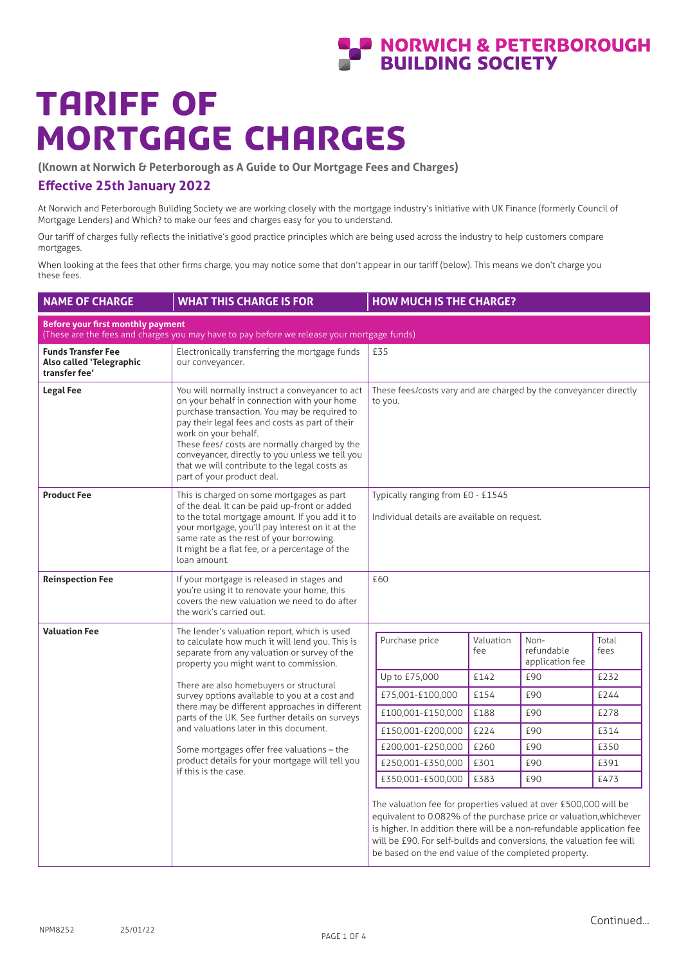# **AN ADAMICH & PETERBOROUGH**

# Tariff of Mortgage Charges

**(Known at Norwich & Peterborough as A Guide to Our Mortgage Fees and Charges)**

## **Effective 25th January 2022**

At Norwich and Peterborough Building Society we are working closely with the mortgage industry's initiative with UK Finance (formerly Council of Mortgage Lenders) and Which? to make our fees and charges easy for you to understand.

Our tariff of charges fully reflects the initiative's good practice principles which are being used across the industry to help customers compare mortgages.

When looking at the fees that other firms charge, you may notice some that don't appear in our tariff (below). This means we don't charge you these fees.

| <b>NAME OF CHARGE</b>                                                                                                           | <b>WHAT THIS CHARGE IS FOR</b>                                                                                                                                                                                                                                                                                                                                                                               | <b>HOW MUCH IS THE CHARGE?</b>                                                                                                                                                                                                                                                                                                                  |  |  |  |  |
|---------------------------------------------------------------------------------------------------------------------------------|--------------------------------------------------------------------------------------------------------------------------------------------------------------------------------------------------------------------------------------------------------------------------------------------------------------------------------------------------------------------------------------------------------------|-------------------------------------------------------------------------------------------------------------------------------------------------------------------------------------------------------------------------------------------------------------------------------------------------------------------------------------------------|--|--|--|--|
| Before your first monthly payment<br>(These are the fees and charges you may have to pay before we release your mortgage funds) |                                                                                                                                                                                                                                                                                                                                                                                                              |                                                                                                                                                                                                                                                                                                                                                 |  |  |  |  |
| <b>Funds Transfer Fee</b><br>Also called 'Telegraphic<br>transfer fee'                                                          | Electronically transferring the mortgage funds<br>our conveyancer.                                                                                                                                                                                                                                                                                                                                           | £35                                                                                                                                                                                                                                                                                                                                             |  |  |  |  |
| <b>Legal Fee</b>                                                                                                                | You will normally instruct a conveyancer to act<br>on your behalf in connection with your home<br>purchase transaction. You may be required to<br>pay their legal fees and costs as part of their<br>work on your behalf.<br>These fees/ costs are normally charged by the<br>conveyancer, directly to you unless we tell you<br>that we will contribute to the legal costs as<br>part of your product deal. | These fees/costs vary and are charged by the conveyancer directly<br>to you.                                                                                                                                                                                                                                                                    |  |  |  |  |
| <b>Product Fee</b>                                                                                                              | This is charged on some mortgages as part<br>of the deal. It can be paid up-front or added<br>to the total mortgage amount. If you add it to<br>your mortgage, you'll pay interest on it at the<br>same rate as the rest of your borrowing.<br>It might be a flat fee, or a percentage of the<br>loan amount.                                                                                                | Typically ranging from £0 - £1545<br>Individual details are available on request.                                                                                                                                                                                                                                                               |  |  |  |  |
| <b>Reinspection Fee</b>                                                                                                         | If your mortgage is released in stages and<br>you're using it to renovate your home, this<br>covers the new valuation we need to do after<br>the work's carried out.                                                                                                                                                                                                                                         | £60                                                                                                                                                                                                                                                                                                                                             |  |  |  |  |
| <b>Valuation Fee</b>                                                                                                            | The lender's valuation report, which is used<br>to calculate how much it will lend you. This is<br>separate from any valuation or survey of the<br>property you might want to commission.                                                                                                                                                                                                                    | Purchase price<br>Valuation<br>Non-<br>Total<br>refundable<br>fees<br>fee<br>application fee                                                                                                                                                                                                                                                    |  |  |  |  |
|                                                                                                                                 | There are also homebuyers or structural<br>survey options available to you at a cost and<br>there may be different approaches in different<br>parts of the UK. See further details on surveys<br>and valuations later in this document.                                                                                                                                                                      | £142<br>£90<br>£232<br>Up to £75,000                                                                                                                                                                                                                                                                                                            |  |  |  |  |
|                                                                                                                                 |                                                                                                                                                                                                                                                                                                                                                                                                              | £154<br>£90<br>£244<br>£75,001-£100,000                                                                                                                                                                                                                                                                                                         |  |  |  |  |
|                                                                                                                                 |                                                                                                                                                                                                                                                                                                                                                                                                              | £188<br>£90<br>£100,001-£150,000<br>£278                                                                                                                                                                                                                                                                                                        |  |  |  |  |
|                                                                                                                                 |                                                                                                                                                                                                                                                                                                                                                                                                              | £224<br>£90<br>£150,001-£200,000<br>£314                                                                                                                                                                                                                                                                                                        |  |  |  |  |
|                                                                                                                                 | Some mortgages offer free valuations – the                                                                                                                                                                                                                                                                                                                                                                   | £260<br>£90<br>£200,001-£250,000<br>£350                                                                                                                                                                                                                                                                                                        |  |  |  |  |
|                                                                                                                                 | product details for your mortgage will tell you<br>if this is the case.                                                                                                                                                                                                                                                                                                                                      | £301<br>£90<br>£250,001-£350,000<br>£391                                                                                                                                                                                                                                                                                                        |  |  |  |  |
|                                                                                                                                 |                                                                                                                                                                                                                                                                                                                                                                                                              | £383<br>£90<br>£350,001-£500,000<br>£473                                                                                                                                                                                                                                                                                                        |  |  |  |  |
|                                                                                                                                 |                                                                                                                                                                                                                                                                                                                                                                                                              | The valuation fee for properties valued at over £500,000 will be<br>equivalent to 0.082% of the purchase price or valuation, whichever<br>is higher. In addition there will be a non-refundable application fee<br>will be £90. For self-builds and conversions, the valuation fee will<br>be based on the end value of the completed property. |  |  |  |  |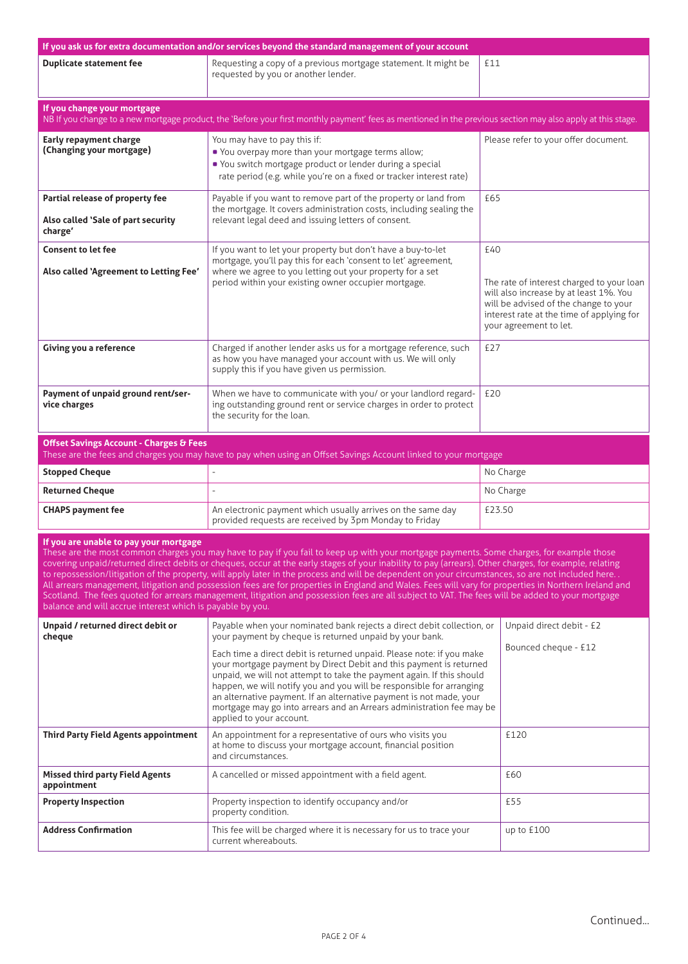| If you ask us for extra documentation and/or services beyond the standard management of your account                                                                                                                                                                                                                                                                                                                                                                                                                                                                                                                                                                                                                                                                                                                                                                        |                                                                                                                                                                                                                                                                                                                                                                                                                                                                                                  |                                                                                                                                                                                                            |  |  |  |
|-----------------------------------------------------------------------------------------------------------------------------------------------------------------------------------------------------------------------------------------------------------------------------------------------------------------------------------------------------------------------------------------------------------------------------------------------------------------------------------------------------------------------------------------------------------------------------------------------------------------------------------------------------------------------------------------------------------------------------------------------------------------------------------------------------------------------------------------------------------------------------|--------------------------------------------------------------------------------------------------------------------------------------------------------------------------------------------------------------------------------------------------------------------------------------------------------------------------------------------------------------------------------------------------------------------------------------------------------------------------------------------------|------------------------------------------------------------------------------------------------------------------------------------------------------------------------------------------------------------|--|--|--|
| <b>Duplicate statement fee</b>                                                                                                                                                                                                                                                                                                                                                                                                                                                                                                                                                                                                                                                                                                                                                                                                                                              | Requesting a copy of a previous mortgage statement. It might be<br>requested by you or another lender.                                                                                                                                                                                                                                                                                                                                                                                           | £11                                                                                                                                                                                                        |  |  |  |
| If you change your mortgage                                                                                                                                                                                                                                                                                                                                                                                                                                                                                                                                                                                                                                                                                                                                                                                                                                                 | NB If you change to a new mortgage product, the 'Before your first monthly payment' fees as mentioned in the previous section may also apply at this stage.                                                                                                                                                                                                                                                                                                                                      |                                                                                                                                                                                                            |  |  |  |
| Early repayment charge<br>(Changing your mortgage)                                                                                                                                                                                                                                                                                                                                                                                                                                                                                                                                                                                                                                                                                                                                                                                                                          | You may have to pay this if:<br>. You overpay more than your mortgage terms allow;<br>• You switch mortgage product or lender during a special<br>rate period (e.g. while you're on a fixed or tracker interest rate)                                                                                                                                                                                                                                                                            | Please refer to your offer document.                                                                                                                                                                       |  |  |  |
| Partial release of property fee<br>Also called 'Sale of part security<br>charge'                                                                                                                                                                                                                                                                                                                                                                                                                                                                                                                                                                                                                                                                                                                                                                                            | Payable if you want to remove part of the property or land from<br>the mortgage. It covers administration costs, including sealing the<br>relevant legal deed and issuing letters of consent.                                                                                                                                                                                                                                                                                                    | £65                                                                                                                                                                                                        |  |  |  |
| <b>Consent to let fee</b><br>Also called 'Agreement to Letting Fee'                                                                                                                                                                                                                                                                                                                                                                                                                                                                                                                                                                                                                                                                                                                                                                                                         | If you want to let your property but don't have a buy-to-let<br>mortgage, you'll pay this for each 'consent to let' agreement,<br>where we agree to you letting out your property for a set<br>period within your existing owner occupier mortgage.                                                                                                                                                                                                                                              | £40<br>The rate of interest charged to your loan<br>will also increase by at least 1%. You<br>will be advised of the change to your<br>interest rate at the time of applying for<br>your agreement to let. |  |  |  |
| Giving you a reference                                                                                                                                                                                                                                                                                                                                                                                                                                                                                                                                                                                                                                                                                                                                                                                                                                                      | Charged if another lender asks us for a mortgage reference, such<br>as how you have managed your account with us. We will only<br>supply this if you have given us permission.                                                                                                                                                                                                                                                                                                                   | £27                                                                                                                                                                                                        |  |  |  |
| Payment of unpaid ground rent/ser-<br>vice charges                                                                                                                                                                                                                                                                                                                                                                                                                                                                                                                                                                                                                                                                                                                                                                                                                          | When we have to communicate with you/ or your landlord regard-<br>ing outstanding ground rent or service charges in order to protect<br>the security for the loan.                                                                                                                                                                                                                                                                                                                               | £20                                                                                                                                                                                                        |  |  |  |
| <b>Offset Savings Account - Charges &amp; Fees</b>                                                                                                                                                                                                                                                                                                                                                                                                                                                                                                                                                                                                                                                                                                                                                                                                                          | These are the fees and charges you may have to pay when using an Offset Savings Account linked to your mortgage                                                                                                                                                                                                                                                                                                                                                                                  |                                                                                                                                                                                                            |  |  |  |
| <b>Stopped Cheque</b>                                                                                                                                                                                                                                                                                                                                                                                                                                                                                                                                                                                                                                                                                                                                                                                                                                                       | ä,                                                                                                                                                                                                                                                                                                                                                                                                                                                                                               | No Charge                                                                                                                                                                                                  |  |  |  |
| <b>Returned Cheque</b>                                                                                                                                                                                                                                                                                                                                                                                                                                                                                                                                                                                                                                                                                                                                                                                                                                                      |                                                                                                                                                                                                                                                                                                                                                                                                                                                                                                  | No Charge                                                                                                                                                                                                  |  |  |  |
| <b>CHAPS payment fee</b>                                                                                                                                                                                                                                                                                                                                                                                                                                                                                                                                                                                                                                                                                                                                                                                                                                                    | An electronic payment which usually arrives on the same day<br>provided requests are received by 3pm Monday to Friday                                                                                                                                                                                                                                                                                                                                                                            | £23.50                                                                                                                                                                                                     |  |  |  |
| If you are unable to pay your mortgage<br>These are the most common charges you may have to pay if you fail to keep up with your mortgage payments. Some charges, for example those<br>covering unpaid/returned direct debits or cheques, occur at the early stages of your inability to pay (arrears). Other charges, for example, relating<br>to repossession/litigation of the property, will apply later in the process and will be dependent on your circumstances, so are not included here<br>All arrears management, litigation and possession fees are for properties in England and Wales. Fees will vary for properties in Northern Ireland and<br>Scotland. The fees quoted for arrears management, litigation and possession fees are all subject to VAT. The fees will be added to your mortgage<br>balance and will accrue interest which is payable by you. |                                                                                                                                                                                                                                                                                                                                                                                                                                                                                                  |                                                                                                                                                                                                            |  |  |  |
| Unpaid / returned direct debit or<br>cheque                                                                                                                                                                                                                                                                                                                                                                                                                                                                                                                                                                                                                                                                                                                                                                                                                                 | Payable when your nominated bank rejects a direct debit collection, or<br>your payment by cheque is returned unpaid by your bank.                                                                                                                                                                                                                                                                                                                                                                | Unpaid direct debit - £2                                                                                                                                                                                   |  |  |  |
|                                                                                                                                                                                                                                                                                                                                                                                                                                                                                                                                                                                                                                                                                                                                                                                                                                                                             | Bounced cheque - £12<br>Each time a direct debit is returned unpaid. Please note: if you make<br>your mortgage payment by Direct Debit and this payment is returned<br>unpaid, we will not attempt to take the payment again. If this should<br>happen, we will notify you and you will be responsible for arranging<br>an alternative payment. If an alternative payment is not made, your<br>mortgage may go into arrears and an Arrears administration fee may be<br>applied to your account. |                                                                                                                                                                                                            |  |  |  |
| <b>Third Party Field Agents appointment</b>                                                                                                                                                                                                                                                                                                                                                                                                                                                                                                                                                                                                                                                                                                                                                                                                                                 | An appointment for a representative of ours who visits you<br>at home to discuss your mortgage account, financial position<br>and circumstances.                                                                                                                                                                                                                                                                                                                                                 | £120                                                                                                                                                                                                       |  |  |  |
| <b>Missed third party Field Agents</b><br>appointment                                                                                                                                                                                                                                                                                                                                                                                                                                                                                                                                                                                                                                                                                                                                                                                                                       | A cancelled or missed appointment with a field agent.                                                                                                                                                                                                                                                                                                                                                                                                                                            | £60                                                                                                                                                                                                        |  |  |  |
| <b>Property Inspection</b>                                                                                                                                                                                                                                                                                                                                                                                                                                                                                                                                                                                                                                                                                                                                                                                                                                                  | Property inspection to identify occupancy and/or<br>property condition.                                                                                                                                                                                                                                                                                                                                                                                                                          | £55                                                                                                                                                                                                        |  |  |  |
| <b>Address Confirmation</b>                                                                                                                                                                                                                                                                                                                                                                                                                                                                                                                                                                                                                                                                                                                                                                                                                                                 | This fee will be charged where it is necessary for us to trace your<br>current whereabouts.                                                                                                                                                                                                                                                                                                                                                                                                      | up to $£100$                                                                                                                                                                                               |  |  |  |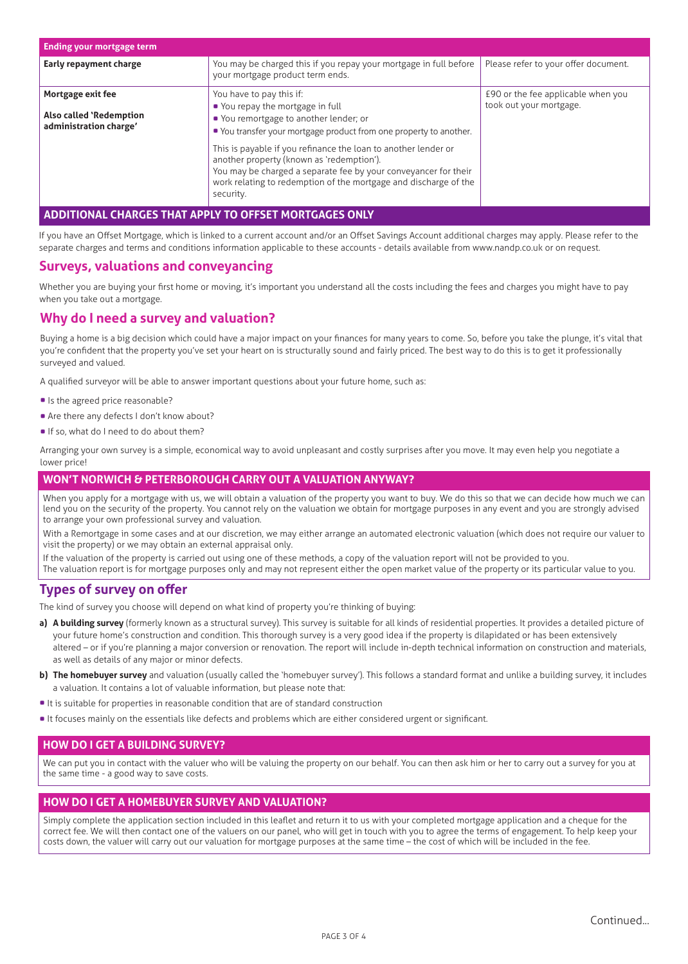| <b>Ending your mortgage term</b>                                              |                                                                                                                                                                                                                                                                                                                                                                                                                                                 |                                                               |  |  |
|-------------------------------------------------------------------------------|-------------------------------------------------------------------------------------------------------------------------------------------------------------------------------------------------------------------------------------------------------------------------------------------------------------------------------------------------------------------------------------------------------------------------------------------------|---------------------------------------------------------------|--|--|
| Early repayment charge                                                        | You may be charged this if you repay your mortgage in full before<br>your mortgage product term ends.                                                                                                                                                                                                                                                                                                                                           | Please refer to your offer document.                          |  |  |
| Mortgage exit fee<br><b>Also called 'Redemption</b><br>administration charge' | You have to pay this if:<br>• You repay the mortgage in full<br>• You remortgage to another lender; or<br>• You transfer your mortgage product from one property to another.<br>This is payable if you refinance the loan to another lender or<br>another property (known as 'redemption').<br>You may be charged a separate fee by your conveyancer for their<br>work relating to redemption of the mortgage and discharge of the<br>security. | £90 or the fee applicable when you<br>took out your mortgage. |  |  |
| NAL CHARGES THAT APPLY TO OFFSET MORTGAGES                                    |                                                                                                                                                                                                                                                                                                                                                                                                                                                 |                                                               |  |  |

If you have an Offset Mortgage, which is linked to a current account and/or an Offset Savings Account additional charges may apply. Please refer to the separate charges and terms and conditions information applicable to these accounts - details available from www.nandp.co.uk or on request.

### **Surveys, valuations and conveyancing**

Whether you are buying your first home or moving, it's important you understand all the costs including the fees and charges you might have to pay when you take out a mortgage.

## **Why do I need a survey and valuation?**

Buying a home is a big decision which could have a major impact on your finances for many years to come. So, before you take the plunge, it's vital that you're confident that the property you've set your heart on is structurally sound and fairly priced. The best way to do this is to get it professionally surveyed and valued.

A qualified surveyor will be able to answer important questions about your future home, such as:

- Is the agreed price reasonable?
- Are there any defects I don't know about?
- If so, what do I need to do about them?

Arranging your own survey is a simple, economical way to avoid unpleasant and costly surprises after you move. It may even help you negotiate a lower price!

#### **WON'T NORWICH & PETERBOROUGH CARRY OUT A VALUATION ANYWAY?**

When you apply for a mortgage with us, we will obtain a valuation of the property you want to buy. We do this so that we can decide how much we can lend you on the security of the property. You cannot rely on the valuation we obtain for mortgage purposes in any event and you are strongly advised to arrange your own professional survey and valuation.

With a Remortgage in some cases and at our discretion, we may either arrange an automated electronic valuation (which does not require our valuer to visit the property) or we may obtain an external appraisal only.

If the valuation of the property is carried out using one of these methods, a copy of the valuation report will not be provided to you. The valuation report is for mortgage purposes only and may not represent either the open market value of the property or its particular value to you.

## **Types of survey on offer**

The kind of survey you choose will depend on what kind of property you're thinking of buying:

- a) A building survey (formerly known as a structural survey). This survey is suitable for all kinds of residential properties. It provides a detailed picture of your future home's construction and condition. This thorough survey is a very good idea if the property is dilapidated or has been extensively altered – or if you're planning a major conversion or renovation. The report will include in-depth technical information on construction and materials, as well as details of any major or minor defects.
- **b) The homebuyer survey** and valuation (usually called the 'homebuyer survey'). This follows a standard format and unlike a building survey, it includes a valuation. It contains a lot of valuable information, but please note that:
- It is suitable for properties in reasonable condition that are of standard construction
- It focuses mainly on the essentials like defects and problems which are either considered urgent or significant.

#### **HOW DO I GET A BUILDING SURVEY?**

We can put you in contact with the valuer who will be valuing the property on our behalf. You can then ask him or her to carry out a survey for you at the same time - a good way to save costs.

#### **HOW DO I GET A HOMEBUYER SURVEY AND VALUATION?**

Simply complete the application section included in this leaflet and return it to us with your completed mortgage application and a cheque for the correct fee. We will then contact one of the valuers on our panel, who will get in touch with you to agree the terms of engagement. To help keep your costs down, the valuer will carry out our valuation for mortgage purposes at the same time – the cost of which will be included in the fee.